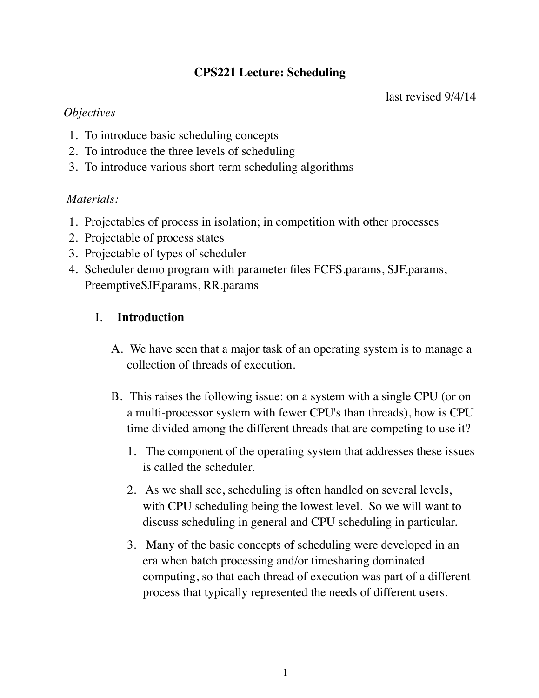# **CPS221 Lecture: Scheduling**

## *Objectives*

- 1. To introduce basic scheduling concepts
- 2. To introduce the three levels of scheduling
- 3. To introduce various short-term scheduling algorithms

## *Materials:*

- 1. Projectables of process in isolation; in competition with other processes
- 2. Projectable of process states
- 3. Projectable of types of scheduler
- 4. Scheduler demo program with parameter files FCFS.params, SJF.params, PreemptiveSJF.params, RR.params

# I. **Introduction**

- A. We have seen that a major task of an operating system is to manage a collection of threads of execution.
- B. This raises the following issue: on a system with a single CPU (or on a multi-processor system with fewer CPU's than threads), how is CPU time divided among the different threads that are competing to use it?
	- 1. The component of the operating system that addresses these issues is called the scheduler.
	- 2. As we shall see, scheduling is often handled on several levels, with CPU scheduling being the lowest level. So we will want to discuss scheduling in general and CPU scheduling in particular.
	- 3. Many of the basic concepts of scheduling were developed in an era when batch processing and/or timesharing dominated computing, so that each thread of execution was part of a different process that typically represented the needs of different users.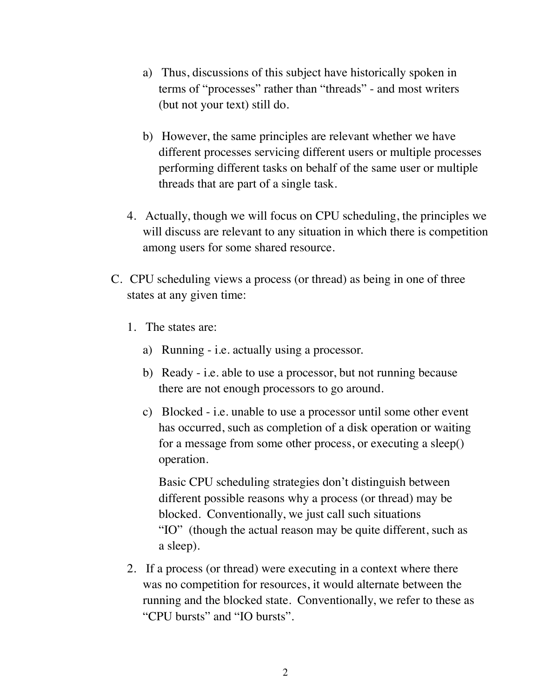- a) Thus, discussions of this subject have historically spoken in terms of "processes" rather than "threads" - and most writers (but not your text) still do.
- b) However, the same principles are relevant whether we have different processes servicing different users or multiple processes performing different tasks on behalf of the same user or multiple threads that are part of a single task.
- 4. Actually, though we will focus on CPU scheduling, the principles we will discuss are relevant to any situation in which there is competition among users for some shared resource.
- C. CPU scheduling views a process (or thread) as being in one of three states at any given time:
	- 1. The states are:
		- a) Running i.e. actually using a processor.
		- b) Ready i.e. able to use a processor, but not running because there are not enough processors to go around.
		- c) Blocked i.e. unable to use a processor until some other event has occurred, such as completion of a disk operation or waiting for a message from some other process, or executing a sleep() operation.

Basic CPU scheduling strategies don't distinguish between different possible reasons why a process (or thread) may be blocked. Conventionally, we just call such situations "IO" (though the actual reason may be quite different, such as a sleep).

2. If a process (or thread) were executing in a context where there was no competition for resources, it would alternate between the running and the blocked state. Conventionally, we refer to these as "CPU bursts" and "IO bursts".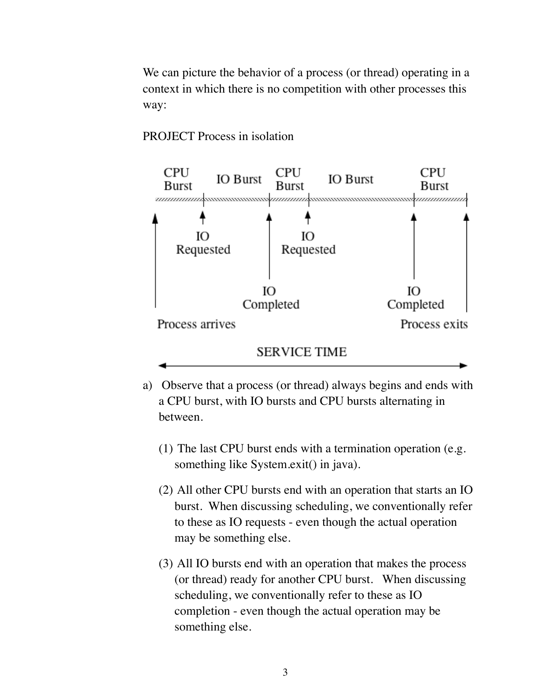We can picture the behavior of a process (or thread) operating in a context in which there is no competition with other processes this way:

#### PROJECT Process in isolation



- a) Observe that a process (or thread) always begins and ends with a CPU burst, with IO bursts and CPU bursts alternating in between.
	- (1) The last CPU burst ends with a termination operation (e.g. something like System.exit() in java).
	- (2) All other CPU bursts end with an operation that starts an IO burst. When discussing scheduling, we conventionally refer to these as IO requests - even though the actual operation may be something else.
	- (3) All IO bursts end with an operation that makes the process (or thread) ready for another CPU burst. When discussing scheduling, we conventionally refer to these as IO completion - even though the actual operation may be something else.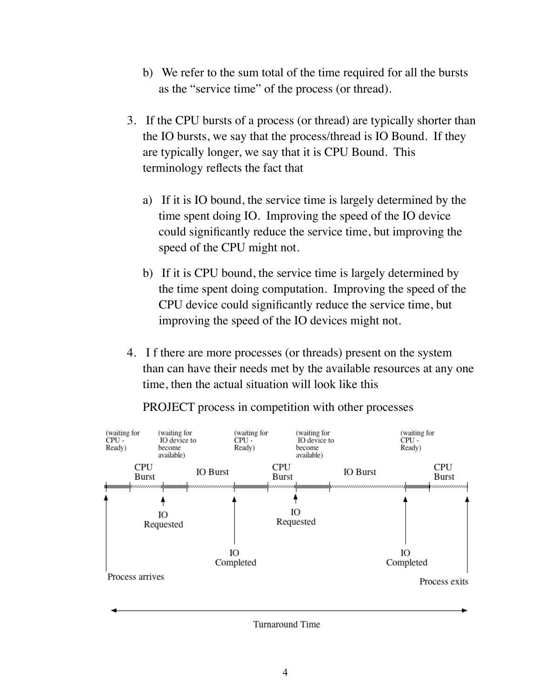- b) We refer to the sum total of the time required for all the bursts as the "service time" of the process (or thread).
- 3. If the CPU bursts of a process (or thread) are typically shorter than the IO bursts, we say that the process/thread is IO Bound. If they are typically longer, we say that it is CPU Bound. This terminology reflects the fact that
	- a) If it is IO bound, the service time is largely determined by the time spent doing IO. Improving the speed of the IO device could significantly reduce the service time, but improving the speed of the CPU might not.
	- b) If it is CPU bound, the service time is largely determined by the time spent doing computation. Improving the speed of the CPU device could significantly reduce the service time, but improving the speed of the IO devices might not.
- 4. I f there are more processes (or threads) present on the system than can have their needs met by the available resources at any one time, then the actual situation will look like this



PROJECT process in competition with other processes

**Turnaround Time**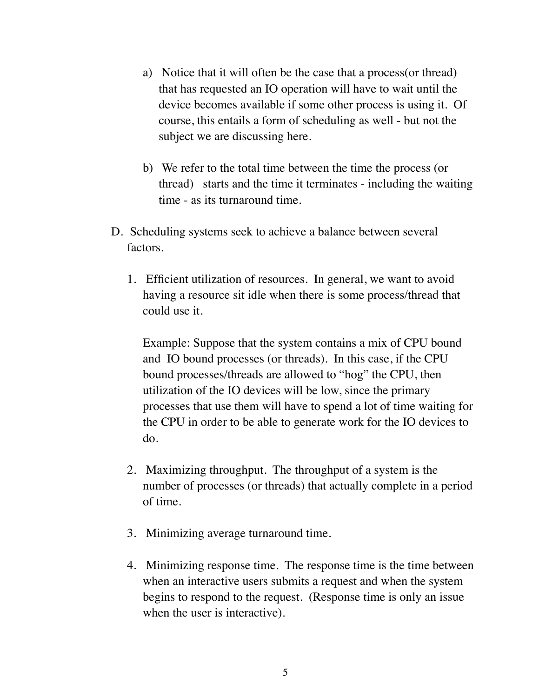- a) Notice that it will often be the case that a process(or thread) that has requested an IO operation will have to wait until the device becomes available if some other process is using it. Of course, this entails a form of scheduling as well - but not the subject we are discussing here.
- b) We refer to the total time between the time the process (or thread) starts and the time it terminates - including the waiting time - as its turnaround time.
- D. Scheduling systems seek to achieve a balance between several factors.
	- 1. Efficient utilization of resources. In general, we want to avoid having a resource sit idle when there is some process/thread that could use it.

Example: Suppose that the system contains a mix of CPU bound and IO bound processes (or threads). In this case, if the CPU bound processes/threads are allowed to "hog" the CPU, then utilization of the IO devices will be low, since the primary processes that use them will have to spend a lot of time waiting for the CPU in order to be able to generate work for the IO devices to do.

- 2. Maximizing throughput. The throughput of a system is the number of processes (or threads) that actually complete in a period of time.
- 3. Minimizing average turnaround time.
- 4. Minimizing response time. The response time is the time between when an interactive users submits a request and when the system begins to respond to the request. (Response time is only an issue when the user is interactive).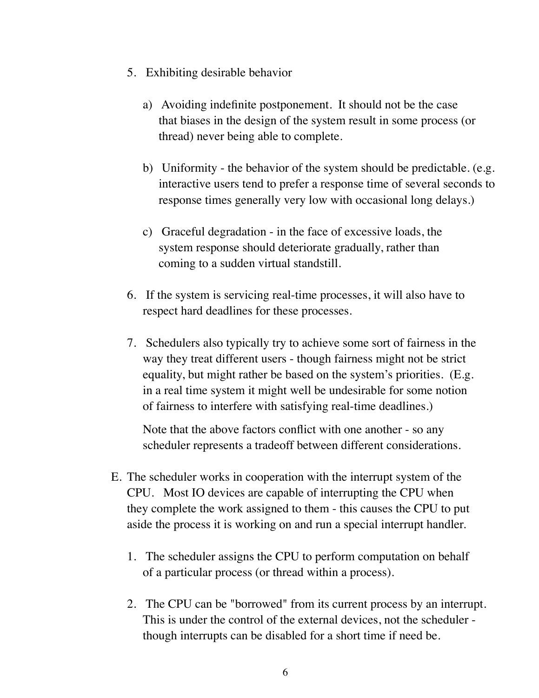- 5. Exhibiting desirable behavior
	- a) Avoiding indefinite postponement. It should not be the case that biases in the design of the system result in some process (or thread) never being able to complete.
	- b) Uniformity the behavior of the system should be predictable. (e.g. interactive users tend to prefer a response time of several seconds to response times generally very low with occasional long delays.)
	- c) Graceful degradation in the face of excessive loads, the system response should deteriorate gradually, rather than coming to a sudden virtual standstill.
- 6. If the system is servicing real-time processes, it will also have to respect hard deadlines for these processes.
- 7. Schedulers also typically try to achieve some sort of fairness in the way they treat different users - though fairness might not be strict equality, but might rather be based on the system's priorities. (E.g. in a real time system it might well be undesirable for some notion of fairness to interfere with satisfying real-time deadlines.)

Note that the above factors conflict with one another - so any scheduler represents a tradeoff between different considerations.

- E. The scheduler works in cooperation with the interrupt system of the CPU. Most IO devices are capable of interrupting the CPU when they complete the work assigned to them - this causes the CPU to put aside the process it is working on and run a special interrupt handler.
	- 1. The scheduler assigns the CPU to perform computation on behalf of a particular process (or thread within a process).
	- 2. The CPU can be "borrowed" from its current process by an interrupt. This is under the control of the external devices, not the scheduler though interrupts can be disabled for a short time if need be.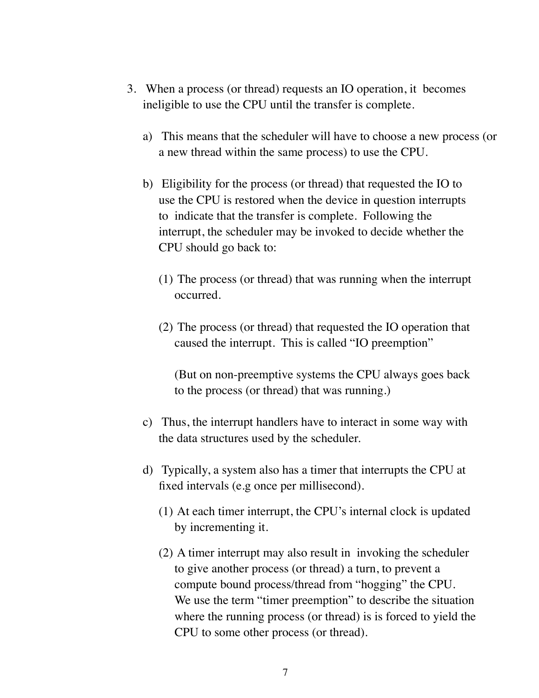- 3. When a process (or thread) requests an IO operation, it becomes ineligible to use the CPU until the transfer is complete.
	- a) This means that the scheduler will have to choose a new process (or a new thread within the same process) to use the CPU.
	- b) Eligibility for the process (or thread) that requested the IO to use the CPU is restored when the device in question interrupts to indicate that the transfer is complete. Following the interrupt, the scheduler may be invoked to decide whether the CPU should go back to:
		- (1) The process (or thread) that was running when the interrupt occurred.
		- (2) The process (or thread) that requested the IO operation that caused the interrupt. This is called "IO preemption"

(But on non-preemptive systems the CPU always goes back to the process (or thread) that was running.)

- c) Thus, the interrupt handlers have to interact in some way with the data structures used by the scheduler.
- d) Typically, a system also has a timer that interrupts the CPU at fixed intervals (e.g once per millisecond).
	- (1) At each timer interrupt, the CPU's internal clock is updated by incrementing it.
	- (2) A timer interrupt may also result in invoking the scheduler to give another process (or thread) a turn, to prevent a compute bound process/thread from "hogging" the CPU. We use the term "timer preemption" to describe the situation where the running process (or thread) is is forced to yield the CPU to some other process (or thread).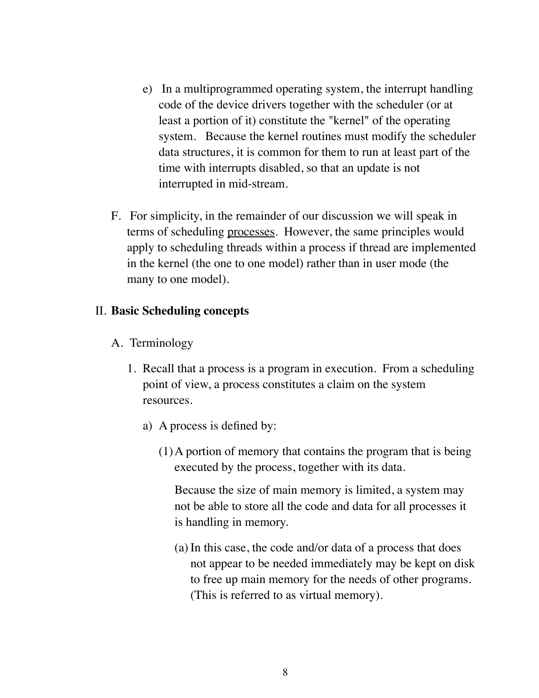- e) In a multiprogrammed operating system, the interrupt handling code of the device drivers together with the scheduler (or at least a portion of it) constitute the "kernel" of the operating system. Because the kernel routines must modify the scheduler data structures, it is common for them to run at least part of the time with interrupts disabled, so that an update is not interrupted in mid-stream.
- F. For simplicity, in the remainder of our discussion we will speak in terms of scheduling processes. However, the same principles would apply to scheduling threads within a process if thread are implemented in the kernel (the one to one model) rather than in user mode (the many to one model).

#### II. **Basic Scheduling concepts**

- A. Terminology
	- 1. Recall that a process is a program in execution. From a scheduling point of view, a process constitutes a claim on the system resources.
		- a) A process is defined by:
			- (1)A portion of memory that contains the program that is being executed by the process, together with its data.

Because the size of main memory is limited, a system may not be able to store all the code and data for all processes it is handling in memory.

(a) In this case, the code and/or data of a process that does not appear to be needed immediately may be kept on disk to free up main memory for the needs of other programs. (This is referred to as virtual memory).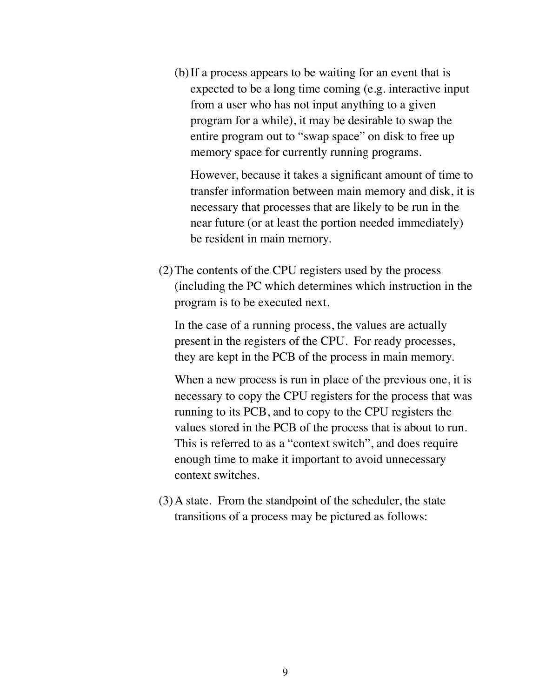(b)If a process appears to be waiting for an event that is expected to be a long time coming (e.g. interactive input from a user who has not input anything to a given program for a while), it may be desirable to swap the entire program out to "swap space" on disk to free up memory space for currently running programs.

However, because it takes a significant amount of time to transfer information between main memory and disk, it is necessary that processes that are likely to be run in the near future (or at least the portion needed immediately) be resident in main memory.

(2)The contents of the CPU registers used by the process (including the PC which determines which instruction in the program is to be executed next.

In the case of a running process, the values are actually present in the registers of the CPU. For ready processes, they are kept in the PCB of the process in main memory.

When a new process is run in place of the previous one, it is necessary to copy the CPU registers for the process that was running to its PCB, and to copy to the CPU registers the values stored in the PCB of the process that is about to run. This is referred to as a "context switch", and does require enough time to make it important to avoid unnecessary context switches.

(3)A state. From the standpoint of the scheduler, the state transitions of a process may be pictured as follows: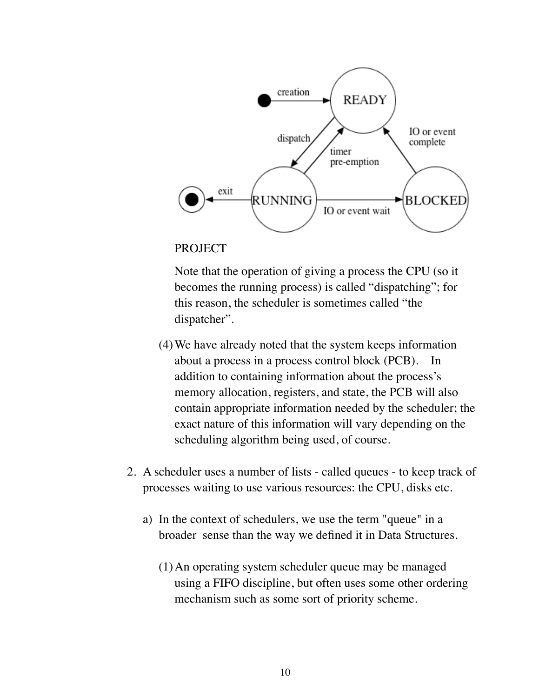

#### PROJECT

Note that the operation of giving a process the CPU (so it becomes the running process) is called "dispatching"; for this reason, the scheduler is sometimes called "the dispatcher".

- (4)We have already noted that the system keeps information about a process in a process control block (PCB). In addition to containing information about the process's memory allocation, registers, and state, the PCB will also contain appropriate information needed by the scheduler; the exact nature of this information will vary depending on the scheduling algorithm being used, of course.
- 2. A scheduler uses a number of lists called queues to keep track of processes waiting to use various resources: the CPU, disks etc.
	- a) In the context of schedulers, we use the term "queue" in a broader sense than the way we defined it in Data Structures.
		- (1)An operating system scheduler queue may be managed using a FIFO discipline, but often uses some other ordering mechanism such as some sort of priority scheme.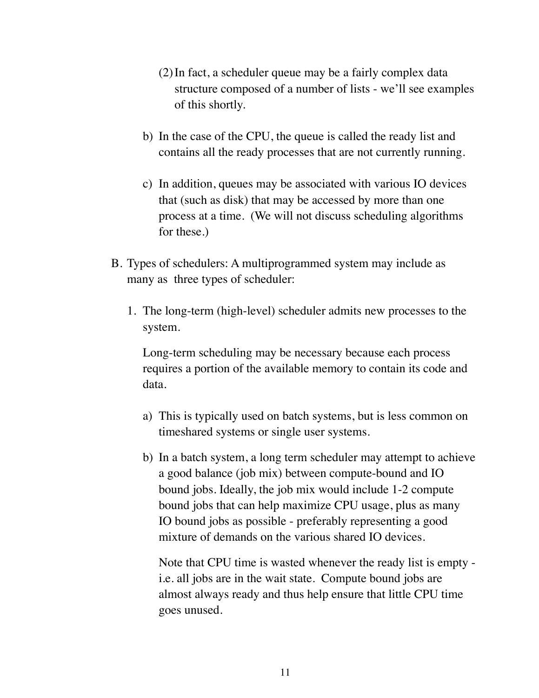- (2)In fact, a scheduler queue may be a fairly complex data structure composed of a number of lists - we'll see examples of this shortly.
- b) In the case of the CPU, the queue is called the ready list and contains all the ready processes that are not currently running.
- c) In addition, queues may be associated with various IO devices that (such as disk) that may be accessed by more than one process at a time. (We will not discuss scheduling algorithms for these.)
- B. Types of schedulers: A multiprogrammed system may include as many as three types of scheduler:
	- 1. The long-term (high-level) scheduler admits new processes to the system.

Long-term scheduling may be necessary because each process requires a portion of the available memory to contain its code and data.

- a) This is typically used on batch systems, but is less common on timeshared systems or single user systems.
- b) In a batch system, a long term scheduler may attempt to achieve a good balance (job mix) between compute-bound and IO bound jobs. Ideally, the job mix would include 1-2 compute bound jobs that can help maximize CPU usage, plus as many IO bound jobs as possible - preferably representing a good mixture of demands on the various shared IO devices.

Note that CPU time is wasted whenever the ready list is empty i.e. all jobs are in the wait state. Compute bound jobs are almost always ready and thus help ensure that little CPU time goes unused.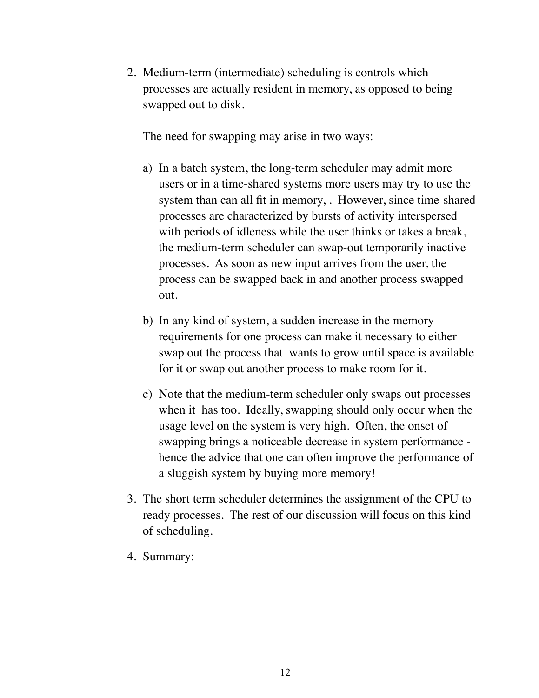2. Medium-term (intermediate) scheduling is controls which processes are actually resident in memory, as opposed to being swapped out to disk.

The need for swapping may arise in two ways:

- a) In a batch system, the long-term scheduler may admit more users or in a time-shared systems more users may try to use the system than can all fit in memory, . However, since time-shared processes are characterized by bursts of activity interspersed with periods of idleness while the user thinks or takes a break, the medium-term scheduler can swap-out temporarily inactive processes. As soon as new input arrives from the user, the process can be swapped back in and another process swapped out.
- b) In any kind of system, a sudden increase in the memory requirements for one process can make it necessary to either swap out the process that wants to grow until space is available for it or swap out another process to make room for it.
- c) Note that the medium-term scheduler only swaps out processes when it has too. Ideally, swapping should only occur when the usage level on the system is very high. Often, the onset of swapping brings a noticeable decrease in system performance hence the advice that one can often improve the performance of a sluggish system by buying more memory!
- 3. The short term scheduler determines the assignment of the CPU to ready processes. The rest of our discussion will focus on this kind of scheduling.
- 4. Summary: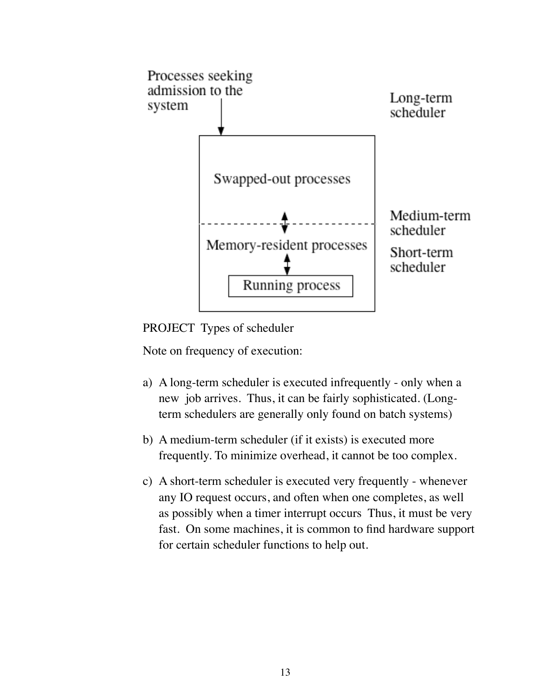

PROJECT Types of scheduler

Note on frequency of execution:

- a) A long-term scheduler is executed infrequently only when a new job arrives. Thus, it can be fairly sophisticated. (Longterm schedulers are generally only found on batch systems)
- b) A medium-term scheduler (if it exists) is executed more frequently. To minimize overhead, it cannot be too complex.
- c) A short-term scheduler is executed very frequently whenever any IO request occurs, and often when one completes, as well as possibly when a timer interrupt occurs Thus, it must be very fast. On some machines, it is common to find hardware support for certain scheduler functions to help out.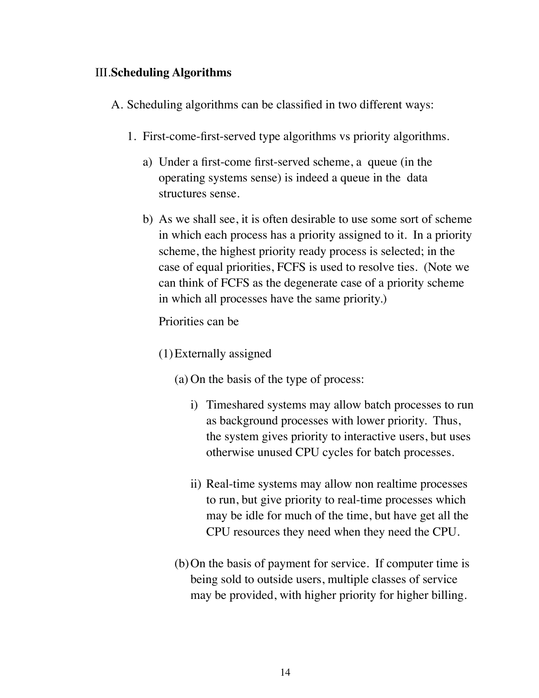## III.**Scheduling Algorithms**

A. Scheduling algorithms can be classified in two different ways:

- 1. First-come-first-served type algorithms vs priority algorithms.
	- a) Under a first-come first-served scheme, a queue (in the operating systems sense) is indeed a queue in the data structures sense.
	- b) As we shall see, it is often desirable to use some sort of scheme in which each process has a priority assigned to it. In a priority scheme, the highest priority ready process is selected; in the case of equal priorities, FCFS is used to resolve ties. (Note we can think of FCFS as the degenerate case of a priority scheme in which all processes have the same priority.)

Priorities can be

- (1)Externally assigned
	- (a) On the basis of the type of process:
		- i) Timeshared systems may allow batch processes to run as background processes with lower priority. Thus, the system gives priority to interactive users, but uses otherwise unused CPU cycles for batch processes.
		- ii) Real-time systems may allow non realtime processes to run, but give priority to real-time processes which may be idle for much of the time, but have get all the CPU resources they need when they need the CPU.
	- (b)On the basis of payment for service. If computer time is being sold to outside users, multiple classes of service may be provided, with higher priority for higher billing.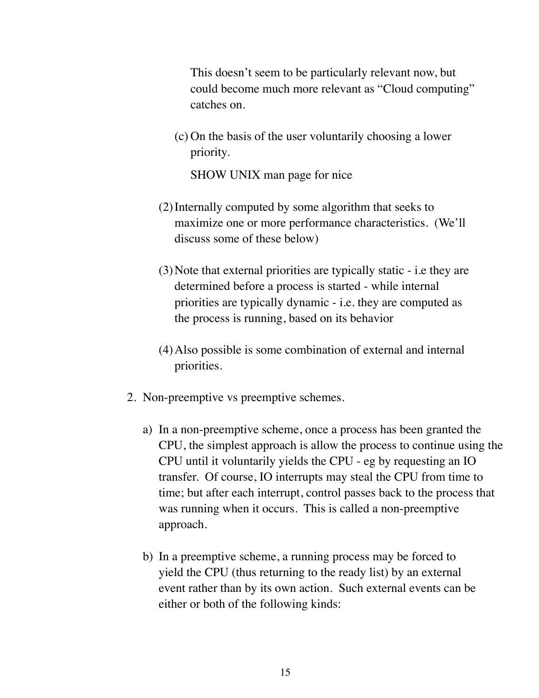This doesn't seem to be particularly relevant now, but could become much more relevant as "Cloud computing" catches on.

(c) On the basis of the user voluntarily choosing a lower priority.

SHOW UNIX man page for nice

- (2)Internally computed by some algorithm that seeks to maximize one or more performance characteristics. (We'll discuss some of these below)
- (3)Note that external priorities are typically static i.e they are determined before a process is started - while internal priorities are typically dynamic - i.e. they are computed as the process is running, based on its behavior
- (4)Also possible is some combination of external and internal priorities.
- 2. Non-preemptive vs preemptive schemes.
	- a) In a non-preemptive scheme, once a process has been granted the CPU, the simplest approach is allow the process to continue using the CPU until it voluntarily yields the CPU - eg by requesting an IO transfer. Of course, IO interrupts may steal the CPU from time to time; but after each interrupt, control passes back to the process that was running when it occurs. This is called a non-preemptive approach.
	- b) In a preemptive scheme, a running process may be forced to yield the CPU (thus returning to the ready list) by an external event rather than by its own action. Such external events can be either or both of the following kinds: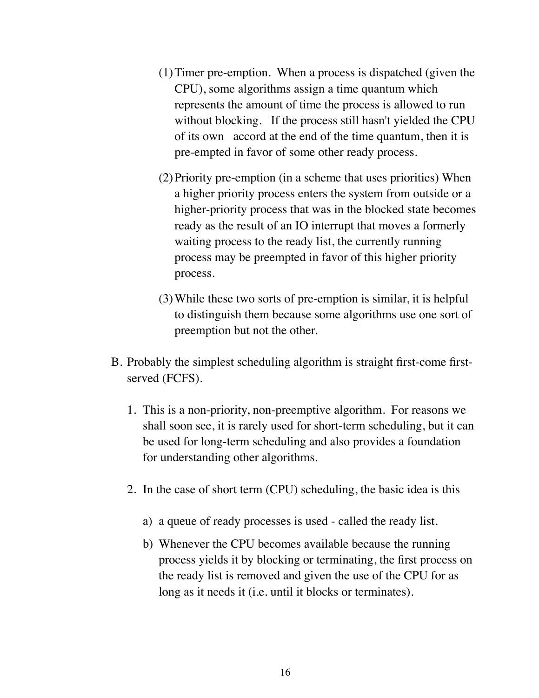- (1)Timer pre-emption. When a process is dispatched (given the CPU), some algorithms assign a time quantum which represents the amount of time the process is allowed to run without blocking. If the process still hasn't yielded the CPU of its own accord at the end of the time quantum, then it is pre-empted in favor of some other ready process.
- (2)Priority pre-emption (in a scheme that uses priorities) When a higher priority process enters the system from outside or a higher-priority process that was in the blocked state becomes ready as the result of an IO interrupt that moves a formerly waiting process to the ready list, the currently running process may be preempted in favor of this higher priority process.
- (3)While these two sorts of pre-emption is similar, it is helpful to distinguish them because some algorithms use one sort of preemption but not the other.
- B. Probably the simplest scheduling algorithm is straight first-come firstserved (FCFS).
	- 1. This is a non-priority, non-preemptive algorithm. For reasons we shall soon see, it is rarely used for short-term scheduling, but it can be used for long-term scheduling and also provides a foundation for understanding other algorithms.
	- 2. In the case of short term (CPU) scheduling, the basic idea is this
		- a) a queue of ready processes is used called the ready list.
		- b) Whenever the CPU becomes available because the running process yields it by blocking or terminating, the first process on the ready list is removed and given the use of the CPU for as long as it needs it (i.e. until it blocks or terminates).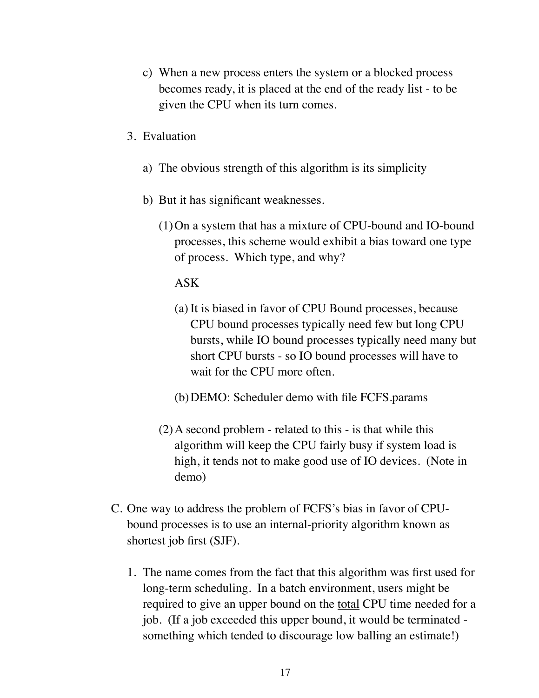- c) When a new process enters the system or a blocked process becomes ready, it is placed at the end of the ready list - to be given the CPU when its turn comes.
- 3. Evaluation
	- a) The obvious strength of this algorithm is its simplicity
	- b) But it has significant weaknesses.
		- (1)On a system that has a mixture of CPU-bound and IO-bound processes, this scheme would exhibit a bias toward one type of process. Which type, and why?

ASK

- (a) It is biased in favor of CPU Bound processes, because CPU bound processes typically need few but long CPU bursts, while IO bound processes typically need many but short CPU bursts - so IO bound processes will have to wait for the CPU more often.
- (b)DEMO: Scheduler demo with file FCFS.params
- (2)A second problem related to this is that while this algorithm will keep the CPU fairly busy if system load is high, it tends not to make good use of IO devices. (Note in demo)
- C. One way to address the problem of FCFS's bias in favor of CPUbound processes is to use an internal-priority algorithm known as shortest job first (SJF).
	- 1. The name comes from the fact that this algorithm was first used for long-term scheduling. In a batch environment, users might be required to give an upper bound on the total CPU time needed for a job. (If a job exceeded this upper bound, it would be terminated something which tended to discourage low balling an estimate!)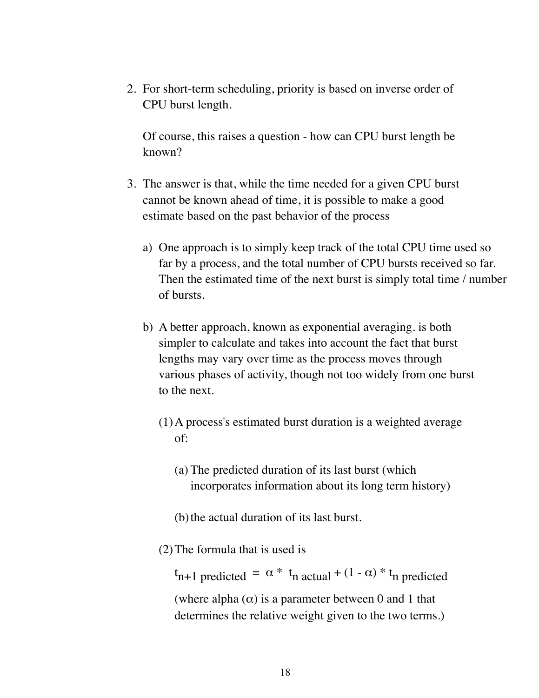2. For short-term scheduling, priority is based on inverse order of CPU burst length.

Of course, this raises a question - how can CPU burst length be known?

- 3. The answer is that, while the time needed for a given CPU burst cannot be known ahead of time, it is possible to make a good estimate based on the past behavior of the process
	- a) One approach is to simply keep track of the total CPU time used so far by a process, and the total number of CPU bursts received so far. Then the estimated time of the next burst is simply total time / number of bursts.
	- b) A better approach, known as exponential averaging. is both simpler to calculate and takes into account the fact that burst lengths may vary over time as the process moves through various phases of activity, though not too widely from one burst to the next.
		- (1)A process's estimated burst duration is a weighted average of:
			- (a) The predicted duration of its last burst (which incorporates information about its long term history)
			- (b) the actual duration of its last burst.
		- (2)The formula that is used is

 $t_{n+1}$  predicted =  $\alpha * t_n$  actual +  $(1 - \alpha) * t_n$  predicted (where alpha  $(\alpha)$  is a parameter between 0 and 1 that determines the relative weight given to the two terms.)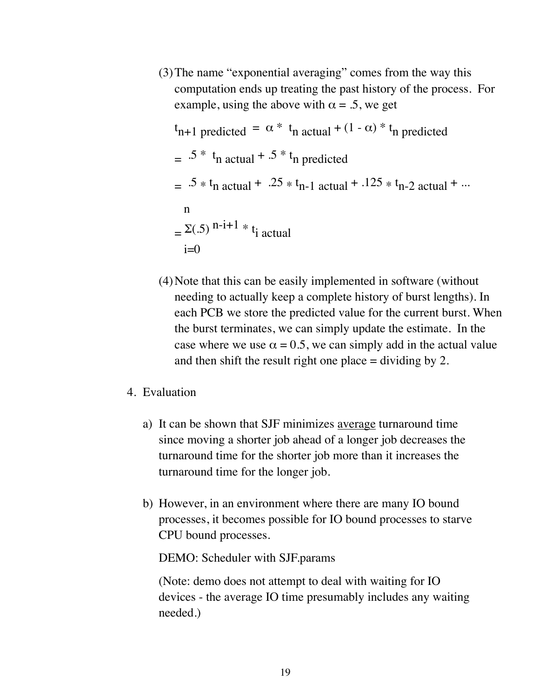(3)The name "exponential averaging" comes from the way this computation ends up treating the past history of the process. For example, using the above with  $\alpha = 0.5$ , we get

$$
t_{n+1 \text{ predicted}} = \alpha * t_n \text{ actual} + (1 - \alpha) * t_n \text{ predicted}
$$
\n
$$
= .5 * t_n \text{ actual} + .5 * t_n \text{ predicted}
$$
\n
$$
= .5 * t_n \text{ actual} + .25 * t_{n-1} \text{ actual} + .125 * t_{n-2} \text{ actual} + ...
$$
\n
$$
= \sum (0.5)^{n-i+1} * t_i \text{ actual}
$$
\n
$$
i = 0
$$

(4)Note that this can be easily implemented in software (without needing to actually keep a complete history of burst lengths). In each PCB we store the predicted value for the current burst. When the burst terminates, we can simply update the estimate. In the case where we use  $\alpha = 0.5$ , we can simply add in the actual value and then shift the result right one place  $=$  dividing by 2.

#### 4. Evaluation

- a) It can be shown that SJF minimizes average turnaround time since moving a shorter job ahead of a longer job decreases the turnaround time for the shorter job more than it increases the turnaround time for the longer job.
- b) However, in an environment where there are many IO bound processes, it becomes possible for IO bound processes to starve CPU bound processes.

DEMO: Scheduler with SJF.params

(Note: demo does not attempt to deal with waiting for IO devices - the average IO time presumably includes any waiting needed.)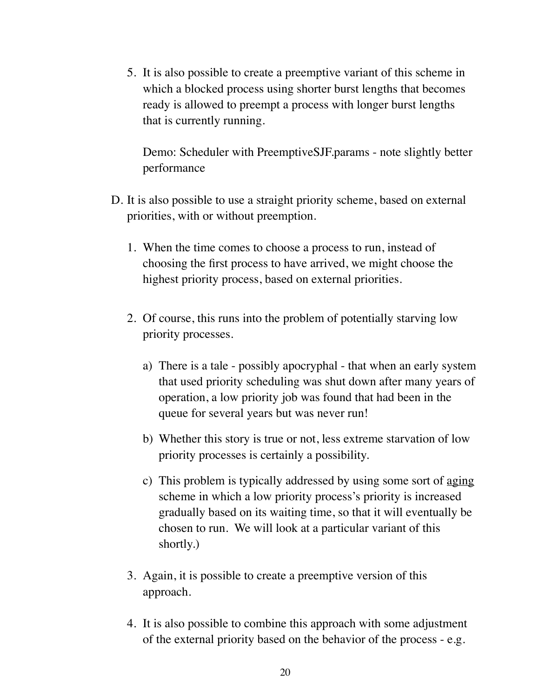5. It is also possible to create a preemptive variant of this scheme in which a blocked process using shorter burst lengths that becomes ready is allowed to preempt a process with longer burst lengths that is currently running.

Demo: Scheduler with PreemptiveSJF.params - note slightly better performance

- D. It is also possible to use a straight priority scheme, based on external priorities, with or without preemption.
	- 1. When the time comes to choose a process to run, instead of choosing the first process to have arrived, we might choose the highest priority process, based on external priorities.
	- 2. Of course, this runs into the problem of potentially starving low priority processes.
		- a) There is a tale possibly apocryphal that when an early system that used priority scheduling was shut down after many years of operation, a low priority job was found that had been in the queue for several years but was never run!
		- b) Whether this story is true or not, less extreme starvation of low priority processes is certainly a possibility.
		- c) This problem is typically addressed by using some sort of aging scheme in which a low priority process's priority is increased gradually based on its waiting time, so that it will eventually be chosen to run. We will look at a particular variant of this shortly.)
	- 3. Again, it is possible to create a preemptive version of this approach.
	- 4. It is also possible to combine this approach with some adjustment of the external priority based on the behavior of the process - e.g.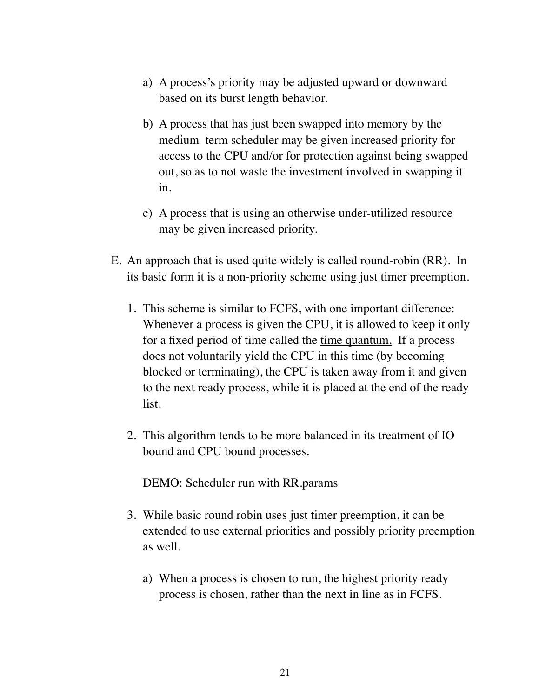- a) A process's priority may be adjusted upward or downward based on its burst length behavior.
- b) A process that has just been swapped into memory by the medium term scheduler may be given increased priority for access to the CPU and/or for protection against being swapped out, so as to not waste the investment involved in swapping it in.
- c) A process that is using an otherwise under-utilized resource may be given increased priority.
- E. An approach that is used quite widely is called round-robin (RR). In its basic form it is a non-priority scheme using just timer preemption.
	- 1. This scheme is similar to FCFS, with one important difference: Whenever a process is given the CPU, it is allowed to keep it only for a fixed period of time called the time quantum. If a process does not voluntarily yield the CPU in this time (by becoming blocked or terminating), the CPU is taken away from it and given to the next ready process, while it is placed at the end of the ready list.
	- 2. This algorithm tends to be more balanced in its treatment of IO bound and CPU bound processes.

DEMO: Scheduler run with RR.params

- 3. While basic round robin uses just timer preemption, it can be extended to use external priorities and possibly priority preemption as well.
	- a) When a process is chosen to run, the highest priority ready process is chosen, rather than the next in line as in FCFS.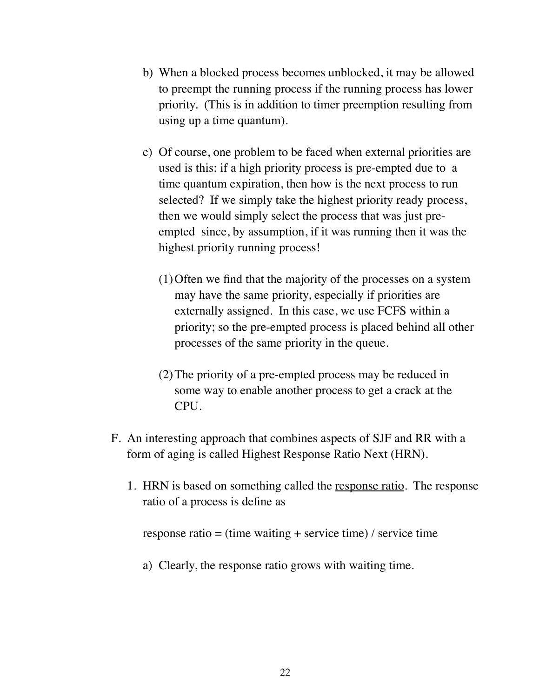- b) When a blocked process becomes unblocked, it may be allowed to preempt the running process if the running process has lower priority. (This is in addition to timer preemption resulting from using up a time quantum).
- c) Of course, one problem to be faced when external priorities are used is this: if a high priority process is pre-empted due to a time quantum expiration, then how is the next process to run selected? If we simply take the highest priority ready process, then we would simply select the process that was just preempted since, by assumption, if it was running then it was the highest priority running process!
	- (1)Often we find that the majority of the processes on a system may have the same priority, especially if priorities are externally assigned. In this case, we use FCFS within a priority; so the pre-empted process is placed behind all other processes of the same priority in the queue.
	- (2)The priority of a pre-empted process may be reduced in some way to enable another process to get a crack at the CPU.
- F. An interesting approach that combines aspects of SJF and RR with a form of aging is called Highest Response Ratio Next (HRN).
	- 1. HRN is based on something called the response ratio. The response ratio of a process is define as

response ratio = (time waiting + service time) / service time

a) Clearly, the response ratio grows with waiting time.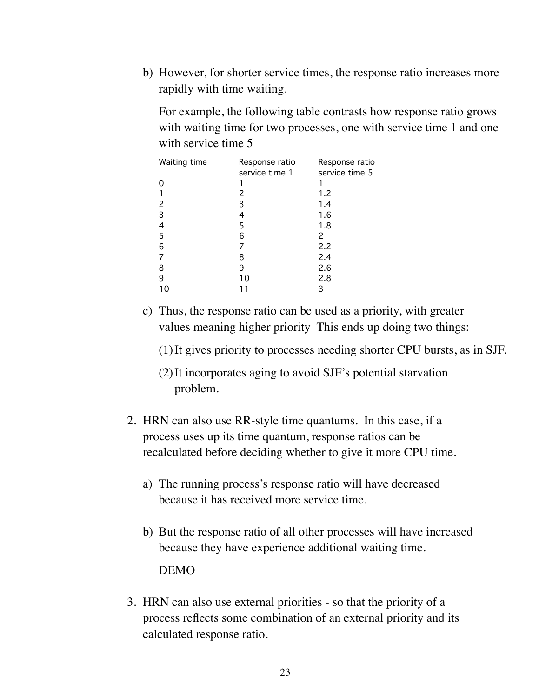b) However, for shorter service times, the response ratio increases more rapidly with time waiting.

For example, the following table contrasts how response ratio grows with waiting time for two processes, one with service time 1 and one with service time 5

| <b>Waiting time</b> | Response ratio<br>service time 1 | Response ratio<br>service time 5 |
|---------------------|----------------------------------|----------------------------------|
|                     |                                  |                                  |
|                     | 2                                | 1.2                              |
| 2                   | 3                                | 1.4                              |
| 3                   | 4                                | 1.6                              |
| 4                   | 5                                | 1.8                              |
| 5                   | 6                                | 2                                |
| 6                   |                                  | 2.2                              |
| 7                   | 8                                | 2.4                              |
| 8                   | 9                                | 2.6                              |
| 9                   | 10                               | 2.8                              |
|                     |                                  | 3                                |

c) Thus, the response ratio can be used as a priority, with greater values meaning higher priority This ends up doing two things:

(1)It gives priority to processes needing shorter CPU bursts, as in SJF.

- (2)It incorporates aging to avoid SJF's potential starvation problem.
- 2. HRN can also use RR-style time quantums. In this case, if a process uses up its time quantum, response ratios can be recalculated before deciding whether to give it more CPU time.
	- a) The running process's response ratio will have decreased because it has received more service time.
	- b) But the response ratio of all other processes will have increased because they have experience additional waiting time. DEMO
- 3. HRN can also use external priorities so that the priority of a process reflects some combination of an external priority and its calculated response ratio.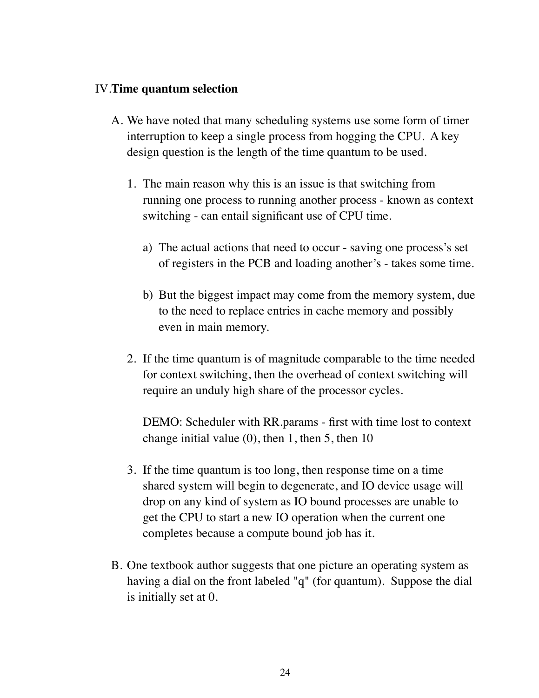#### IV.**Time quantum selection**

- A. We have noted that many scheduling systems use some form of timer interruption to keep a single process from hogging the CPU. A key design question is the length of the time quantum to be used.
	- 1. The main reason why this is an issue is that switching from running one process to running another process - known as context switching - can entail significant use of CPU time.
		- a) The actual actions that need to occur saving one process's set of registers in the PCB and loading another's - takes some time.
		- b) But the biggest impact may come from the memory system, due to the need to replace entries in cache memory and possibly even in main memory.
	- 2. If the time quantum is of magnitude comparable to the time needed for context switching, then the overhead of context switching will require an unduly high share of the processor cycles.

DEMO: Scheduler with RR.params - first with time lost to context change initial value  $(0)$ , then 1, then 5, then 10

- 3. If the time quantum is too long, then response time on a time shared system will begin to degenerate, and IO device usage will drop on any kind of system as IO bound processes are unable to get the CPU to start a new IO operation when the current one completes because a compute bound job has it.
- B. One textbook author suggests that one picture an operating system as having a dial on the front labeled "q" (for quantum). Suppose the dial is initially set at 0.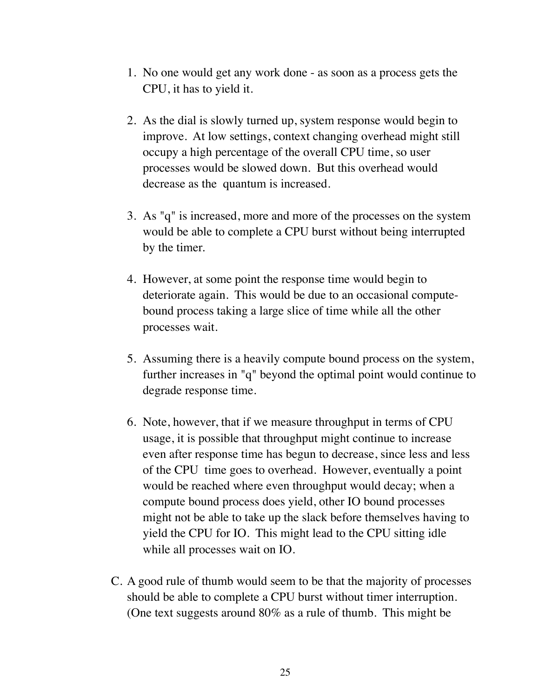- 1. No one would get any work done as soon as a process gets the CPU, it has to yield it.
- 2. As the dial is slowly turned up, system response would begin to improve. At low settings, context changing overhead might still occupy a high percentage of the overall CPU time, so user processes would be slowed down. But this overhead would decrease as the quantum is increased.
- 3. As "q" is increased, more and more of the processes on the system would be able to complete a CPU burst without being interrupted by the timer.
- 4. However, at some point the response time would begin to deteriorate again. This would be due to an occasional computebound process taking a large slice of time while all the other processes wait.
- 5. Assuming there is a heavily compute bound process on the system, further increases in "q" beyond the optimal point would continue to degrade response time.
- 6. Note, however, that if we measure throughput in terms of CPU usage, it is possible that throughput might continue to increase even after response time has begun to decrease, since less and less of the CPU time goes to overhead. However, eventually a point would be reached where even throughput would decay; when a compute bound process does yield, other IO bound processes might not be able to take up the slack before themselves having to yield the CPU for IO. This might lead to the CPU sitting idle while all processes wait on IO.
- C. A good rule of thumb would seem to be that the majority of processes should be able to complete a CPU burst without timer interruption. (One text suggests around 80% as a rule of thumb. This might be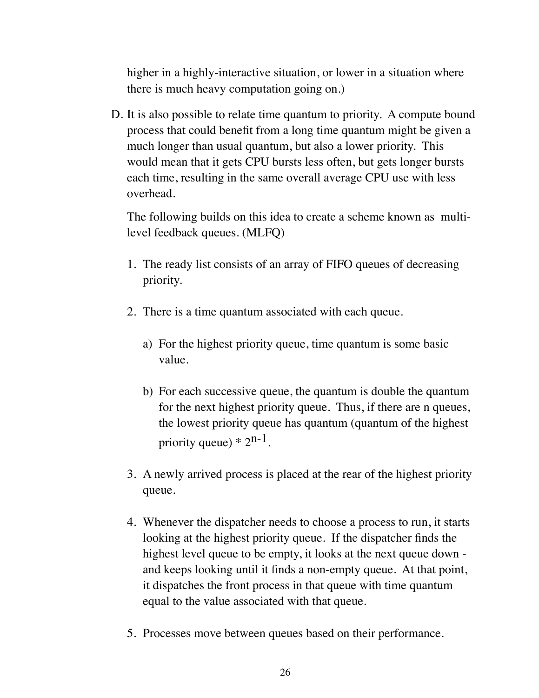higher in a highly-interactive situation, or lower in a situation where there is much heavy computation going on.)

D. It is also possible to relate time quantum to priority. A compute bound process that could benefit from a long time quantum might be given a much longer than usual quantum, but also a lower priority. This would mean that it gets CPU bursts less often, but gets longer bursts each time, resulting in the same overall average CPU use with less overhead.

The following builds on this idea to create a scheme known as multilevel feedback queues. (MLFQ)

- 1. The ready list consists of an array of FIFO queues of decreasing priority.
- 2. There is a time quantum associated with each queue.
	- a) For the highest priority queue, time quantum is some basic value.
	- b) For each successive queue, the quantum is double the quantum for the next highest priority queue. Thus, if there are n queues, the lowest priority queue has quantum (quantum of the highest priority queue)  $* 2^{n-1}$ .
- 3. A newly arrived process is placed at the rear of the highest priority queue.
- 4. Whenever the dispatcher needs to choose a process to run, it starts looking at the highest priority queue. If the dispatcher finds the highest level queue to be empty, it looks at the next queue down and keeps looking until it finds a non-empty queue. At that point, it dispatches the front process in that queue with time quantum equal to the value associated with that queue.
- 5. Processes move between queues based on their performance.